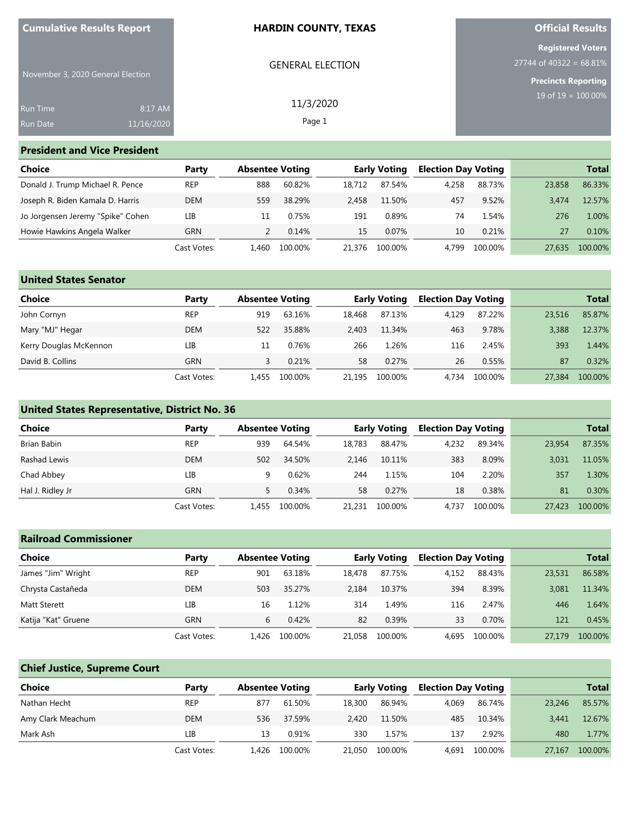| <b>Cumulative Results Report</b>  |            | <b>HARDIN COUNTY, TEXAS</b> | <b>Official Results</b>                               |
|-----------------------------------|------------|-----------------------------|-------------------------------------------------------|
|                                   |            | <b>GENERAL ELECTION</b>     | <b>Registered Voters</b><br>$27744$ of 40322 = 68.81% |
| November 3, 2020 General Election |            |                             | <b>Precincts Reporting</b>                            |
| <b>Run Time</b>                   | 8:17 AM    | 11/3/2020                   | $19$ of $19 = 100.00\%$                               |
| <b>Run Date</b>                   | 11/16/2020 | Page 1                      |                                                       |

#### **President and Vice President**

| Choice                            | Party       |       | <b>Absentee Voting</b> |        | Early Voting |       | <b>Election Day Voting</b> |        | <b>Total</b> |
|-----------------------------------|-------------|-------|------------------------|--------|--------------|-------|----------------------------|--------|--------------|
| Donald J. Trump Michael R. Pence  | <b>REP</b>  | 888   | 60.82%                 | 18.712 | 87.54%       | 4.258 | 88.73%                     | 23,858 | 86.33%       |
| Joseph R. Biden Kamala D. Harris  | DEM         | 559   | 38.29%                 | 2.458  | 11.50%       | 457   | 9.52%                      | 3.474  | 12.57%       |
| Jo Jorgensen Jeremy "Spike" Cohen | LIB         |       | 0.75%                  | 191    | 0.89%        | 74    | 1.54%                      | 276    | 1.00%        |
| Howie Hawkins Angela Walker       | GRN         |       | 0.14%                  | 15     | 0.07%        | 10    | 0.21%                      | 27     | 0.10%        |
|                                   | Cast Votes: | L.460 | 100.00%                | 21,376 | 100.00%      | 4.799 | 100.00%                    | 27.635 | 100.00%      |

| <b>United States Senator</b> |             |                        |         |                     |         |                            |         |        |              |
|------------------------------|-------------|------------------------|---------|---------------------|---------|----------------------------|---------|--------|--------------|
| <b>Choice</b>                | Party       | <b>Absentee Voting</b> |         | <b>Early Voting</b> |         | <b>Election Day Voting</b> |         |        | <b>Total</b> |
| John Cornyn                  | <b>REP</b>  | 919                    | 63.16%  | 18,468              | 87.13%  | 4.129                      | 87.22%  | 23,516 | 85.87%       |
| Mary "MJ" Hegar              | <b>DEM</b>  | 522                    | 35.88%  | 2.403               | 11.34%  | 463                        | 9.78%   | 3.388  | 12.37%       |
| Kerry Douglas McKennon       | LIB         |                        | 0.76%   | 266                 | 1.26%   | 116                        | 2.45%   | 393    | 1.44%        |
| David B. Collins             | <b>GRN</b>  |                        | 0.21%   | 58                  | 0.27%   | 26                         | 0.55%   | 87     | 0.32%        |
|                              | Cast Votes: | L.455                  | 100.00% | 21.195              | 100.00% | 4.734                      | 100.00% | 27,384 | 100.00%      |

### **United States Representative, District No. 36**

| <b>Choice</b>    | Party       | <b>Absentee Voting</b> |         |        | <b>Early Voting</b> |       | <b>Election Day Voting</b> |        | <b>Total</b> |
|------------------|-------------|------------------------|---------|--------|---------------------|-------|----------------------------|--------|--------------|
| Brian Babin      | <b>REP</b>  | 939                    | 64.54%  | 18.783 | 88.47%              | 4.232 | 89.34%                     | 23,954 | 87.35%       |
| Rashad Lewis     | <b>DEM</b>  | 502                    | 34.50%  | 2.146  | 10.11%              | 383   | 8.09%                      | 3.031  | 11.05%       |
| Chad Abbey       | LIB         |                        | 0.62%   | 244    | L.15%               | 104   | 2.20%                      | 357    | 1.30%        |
| Hal J. Ridley Jr | <b>GRN</b>  |                        | 0.34%   | 58     | 0.27%               | 18    | 0.38%                      | 81     | 0.30%        |
|                  | Cast Votes: | 455ء                   | 100.00% | 21,231 | 100.00%             | 4.737 | 100.00%                    | 27,423 | 100.00%      |

# **Railroad Commissioner Choice Party Absentee Voting Early Voting Election Day Voting Total** James "Jim" Wright REP 901 63.18% 18,478 87.75% 4,152 88.43% 23,531 86.58% Chrysta Castañeda DEM 503 35.27% 2,184 10.37% 394 8.39% 3,081 11.34% Matt Sterett LIB 16 1.12% 314 1.49% 116 2.47% 446 1.64% Katija "Kat" Gruene GRN 6 0.42% 82 0.39% 33 0.70% 121 0.45% Cast Votes: 1,426 100.00% 21,058 100.00% 4,695 100.00% 27,179 100.00%

### **Chief Justice, Supreme Court**

| Choice            | Party       |      | <b>Absentee Voting</b> |        | <b>Early Voting</b> |       | <b>Election Day Voting</b> |        | <b>Total</b> |
|-------------------|-------------|------|------------------------|--------|---------------------|-------|----------------------------|--------|--------------|
| Nathan Hecht      | <b>REP</b>  | 877  | 61.50%                 | 18,300 | 86.94%              | 4.069 | 86.74%                     | 23.246 | 85.57%       |
| Amy Clark Meachum | <b>DEM</b>  | 536  | 37.59%                 | 2.420  | 11.50%              | 485   | 10.34%                     | 3.441  | 12.67%       |
| Mark Ash          | LIB         | 13   | 0.91%                  | 330    | 1.57%               | 137   | 2.92%                      | 480    | 1.77%        |
|                   | Cast Votes: | .426 | 100.00%                | 21.050 | 100.00%             | 4.691 | 100.00%                    | 27.167 | 100.00%      |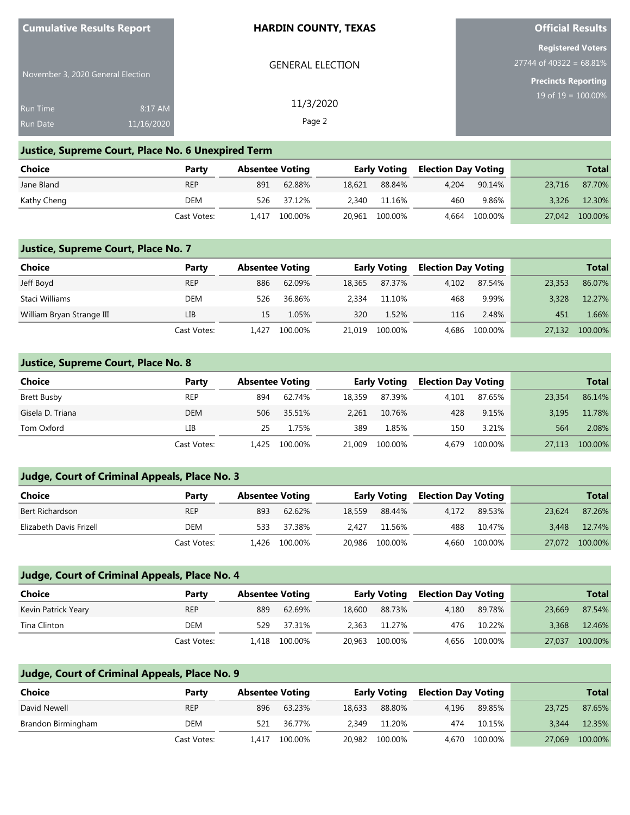| <b>Cumulative Results Report</b>   |                       | <b>HARDIN COUNTY, TEXAS</b> | <b>Official Results</b>                                                             |  |  |
|------------------------------------|-----------------------|-----------------------------|-------------------------------------------------------------------------------------|--|--|
| November 3, 2020 General Election  |                       | <b>GENERAL ELECTION</b>     | <b>Registered Voters</b><br>$27744$ of 40322 = 68.81%<br><b>Precincts Reporting</b> |  |  |
| <b>Run Time</b><br><b>Run Date</b> | 8:17 AM<br>11/16/2020 | 11/3/2020<br>Page 2         | $19 \text{ of } 19 = 100.00\%$                                                      |  |  |

**Official Results**

### **Justice, Supreme Court, Place No. 6 Unexpired Term**

| Choice      | Party       | <b>Absentee Voting</b> |         |        | <b>Early Voting</b> | Election Day Voting |         |        | <b>Total</b> |
|-------------|-------------|------------------------|---------|--------|---------------------|---------------------|---------|--------|--------------|
| Jane Bland  | <b>REP</b>  | 891                    | 62.88%  | 18,621 | 88.84%              | 4.204               | 90.14%  | 23,716 | 87.70%       |
| Kathy Cheng | DEM         | 526                    | 37.12%  | 2.340  | 11.16%              | 460                 | 9.86%   | 3.326  | 12.30%       |
|             | Cast Votes: | 1.417                  | 100.00% |        | 20,961 100.00%      | 4.664               | 100.00% | 27,042 | 100.00%      |

### **Justice, Supreme Court, Place No. 7**

**Cumulative Results Report**

| Choice                    | Party       | <b>Absentee Voting</b> |         | <b>Early Voting</b> |         | <b>Election Day Voting</b> |         |        | <b>Total</b> |
|---------------------------|-------------|------------------------|---------|---------------------|---------|----------------------------|---------|--------|--------------|
| Jeff Boyd                 | <b>REP</b>  | 886                    | 62.09%  | 18,365              | 87.37%  | 4.102                      | 87.54%  | 23,353 | 86.07%       |
| Staci Williams            | DEM         | 526                    | 36.86%  | 2.334               | 11.10%  | 468                        | 9.99%   | 3,328  | 12.27%       |
| William Bryan Strange III | LIB         | 15                     | 1.05%   | 320                 | 1.52%   | 116                        | 2.48%   | 451    | 1.66%        |
|                           | Cast Votes: | L.427                  | 100.00% | 21.019              | 100.00% | 4.686                      | 100.00% | 27.132 | 100.00%      |

### **Justice, Supreme Court, Place No. 8**

| <b>Choice</b>    | Party       | <b>Absentee Voting</b> |         | <b>Early Voting</b> |         | <b>Election Day Voting</b> |         | <b>Total</b> |         |
|------------------|-------------|------------------------|---------|---------------------|---------|----------------------------|---------|--------------|---------|
| Brett Busby      | <b>REP</b>  | 894                    | 62.74%  | 18.359              | 87.39%  | 4.101                      | 87.65%  | 23,354       | 86.14%  |
| Gisela D. Triana | <b>DEM</b>  | 506                    | 35.51%  | 2.261               | 10.76%  | 428                        | 9.15%   | 3.195        | 11.78%  |
| Tom Oxford       | LІВ         | 25                     | 1.75%   | 389                 | 1.85%   | 150                        | 3.21%   | 564          | 2.08%   |
|                  | Cast Votes: | 1.425                  | 100.00% | 21,009              | 100.00% | 4.679                      | 100.00% | 27,113       | 100.00% |

### **Judge, Court of Criminal Appeals, Place No. 3**

| Choice                  | Party       | <b>Absentee Voting</b> |               | Election Day Voting<br>Early Voting |                |       |         | <b>Total</b> |         |
|-------------------------|-------------|------------------------|---------------|-------------------------------------|----------------|-------|---------|--------------|---------|
| Bert Richardson         | <b>REP</b>  | 893                    | 62.62%        | 18,559                              | 88.44%         | 4.172 | 89.53%  | 23.624       | 87.26%  |
| Elizabeth Davis Frizell | DEM         | 533                    | 37.38%        | 2.427                               | 11.56%         | 488   | 10.47%  | 3.448        | 12.74%  |
|                         | Cast Votes: |                        | 1.426 100.00% |                                     | 20,986 100.00% | 4.660 | 100.00% | 27,072       | 100.00% |

### **Judge, Court of Criminal Appeals, Place No. 4**

| Choice              | Party       | <b>Absentee Voting</b> |               |        |                |       | <b>Early Voting</b> |        | Election Day Voting | Total |  |
|---------------------|-------------|------------------------|---------------|--------|----------------|-------|---------------------|--------|---------------------|-------|--|
| Kevin Patrick Yeary | <b>REP</b>  | 889                    | 62.69%        | 18,600 | 88.73%         | 4.180 | 89.78%              | 23,669 | 87.54%              |       |  |
| Tina Clinton        | DEM         | 529                    | 37.31%        |        | 2.363 11.27%   | 476   | 10.22%              | 3.368  | 12.46%              |       |  |
|                     | Cast Votes: |                        | 1.418 100.00% |        | 20.963 100.00% |       | 4.656 100.00%       | 27,037 | 100.00%             |       |  |

### **Judge, Court of Criminal Appeals, Place No. 9**

| Choice             | Party       | <b>Absentee Voting</b> |         |        | <b>Early Voting</b> |       | <b>Election Day Voting</b> |        | <b>Total</b> |
|--------------------|-------------|------------------------|---------|--------|---------------------|-------|----------------------------|--------|--------------|
| David Newell       | <b>REP</b>  | 896                    | 63.23%  | 18,633 | 88.80%              | 4.196 | 89.85%                     | 23.725 | 87.65%       |
| Brandon Birmingham | DEM         | 521                    | 36.77%  | 2.349  | 11.20%              | 474   | 10.15%                     | 3.344  | 12.35%       |
|                    | Cast Votes: | 1.417                  | 100.00% |        | 20,982 100.00%      | 4,670 | 100.00%                    | 27,069 | 100.00%      |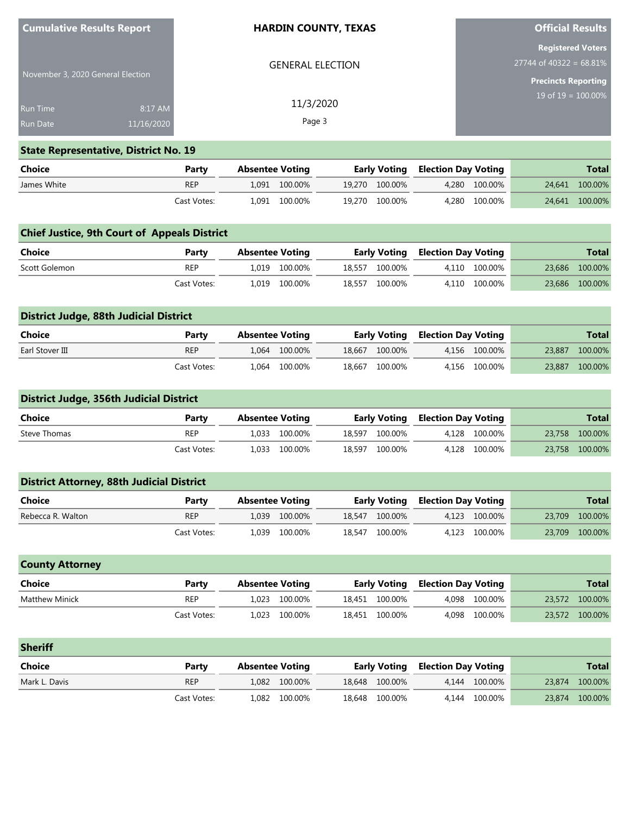| <b>Cumulative Results Report</b>  | <b>HARDIN COUNTY, TEXAS</b> | <b>Official Results</b>                               |  |  |
|-----------------------------------|-----------------------------|-------------------------------------------------------|--|--|
|                                   | <b>GENERAL ELECTION</b>     | <b>Registered Voters</b><br>$27744$ of 40322 = 68.81% |  |  |
| November 3, 2020 General Election |                             | Precincts Reporting                                   |  |  |
| 8:17 AM<br><b>Run Time</b>        | 11/3/2020                   | $19$ of $19 = 100.00\%$                               |  |  |
| <b>Run Date</b><br>11/16/2020     | Page 3                      |                                                       |  |  |

## **State Representative, District No. 19**

| Choice      | Party       | Absentee Voting |               | <b>Early Voting Election Day Voting</b> |  |               | <b>Total</b> |                |
|-------------|-------------|-----------------|---------------|-----------------------------------------|--|---------------|--------------|----------------|
| James White | <b>REP</b>  |                 | 1.091 100.00% | 19.270 100.00%                          |  | 4.280 100.00% |              | 24.641 100.00% |
|             | Cast Votes: |                 | 1,091 100.00% | 19.270 100.00%                          |  | 4.280 100.00% |              | 24,641 100.00% |

|               | <b>Chief Justice, 9th Court of Appeals District</b> |                        |               |  |                |                                         |               |  |                |  |  |
|---------------|-----------------------------------------------------|------------------------|---------------|--|----------------|-----------------------------------------|---------------|--|----------------|--|--|
| Choice        | Party                                               | <b>Absentee Voting</b> |               |  |                | <b>Early Voting Election Day Voting</b> |               |  | <b>Total</b>   |  |  |
| Scott Golemon | <b>REP</b>                                          |                        | 1.019 100.00% |  | 18.557 100.00% |                                         | 4.110 100.00% |  | 23,686 100.00% |  |  |
|               | Cast Votes:                                         |                        | 1.019 100.00% |  | 18,557 100.00% |                                         | 4.110 100.00% |  | 23,686 100.00% |  |  |

| District Judge, 88th Judicial District |             |                        |               |        |         |                                         |               |        |                |  |
|----------------------------------------|-------------|------------------------|---------------|--------|---------|-----------------------------------------|---------------|--------|----------------|--|
| Choice                                 | Party       | <b>Absentee Voting</b> |               |        |         | <b>Early Voting Election Day Voting</b> |               |        | <b>Total</b>   |  |
| Earl Stover III                        | <b>REP</b>  |                        | 1.064 100.00% | 18.667 | 100.00% |                                         | 4.156 100.00% | 23,887 | 100.00%        |  |
|                                        | Cast Votes: |                        | 1.064 100.00% | 18.667 | 100.00% |                                         | 4.156 100.00% |        | 23,887 100.00% |  |

# **District Judge, 356th Judicial District**

| <b>Choice</b> | Party       | Absentee Voting |               |  |                | <b>Early Voting Election Day Voting</b> |               | <b>Total</b> |                |
|---------------|-------------|-----------------|---------------|--|----------------|-----------------------------------------|---------------|--------------|----------------|
| Steve Thomas  | <b>REP</b>  |                 | 1.033 100.00% |  | 18.597 100.00% |                                         | 4.128 100.00% |              | 23.758 100.00% |
|               | Cast Votes: |                 | 1.033 100.00% |  | 18.597 100.00% |                                         | 4.128 100.00% |              | 23,758 100.00% |

|                   | <b>District Attorney, 88th Judicial District</b> |                        |               |  |                |                                         |               |        |                |  |  |
|-------------------|--------------------------------------------------|------------------------|---------------|--|----------------|-----------------------------------------|---------------|--------|----------------|--|--|
| Choice            | Party                                            | <b>Absentee Voting</b> |               |  |                | <b>Early Voting Election Day Voting</b> |               |        | <b>Total</b>   |  |  |
| Rebecca R. Walton | <b>REP</b>                                       |                        | 1.039 100.00% |  | 18.547 100.00% |                                         | 4.123 100.00% | 23,709 | 100.00%        |  |  |
|                   | Cast Votes:                                      |                        | 1,039 100.00% |  | 18,547 100.00% |                                         | 4.123 100.00% |        | 23,709 100.00% |  |  |

| <b>County Attorney</b> |             |                        |               |                |                     |               |        |              |
|------------------------|-------------|------------------------|---------------|----------------|---------------------|---------------|--------|--------------|
| Choice                 | Party       | <b>Absentee Voting</b> |               | Early Voting   | Election Day Voting |               |        | <b>Total</b> |
| Matthew Minick         | <b>REP</b>  |                        | 1.023 100.00% | 18.451 100.00% |                     | 4.098 100.00% | 23,572 | 100.00%      |
|                        | Cast Votes: |                        | 1.023 100.00% | 18.451 100.00% |                     | 4.098 100.00% | 23,572 | 100.00%      |

| <b>Sheriff</b> |             |                        |  |                |                            |               |                |
|----------------|-------------|------------------------|--|----------------|----------------------------|---------------|----------------|
| Choice         | Party       | <b>Absentee Voting</b> |  | Early Voting   | <b>Election Day Voting</b> |               | <b>Total</b>   |
| Mark L. Davis  | <b>REP</b>  | 1.082 100.00%          |  | 18,648 100.00% |                            | 4.144 100.00% | 23,874 100.00% |
|                | Cast Votes: | 1.082 100.00%          |  | 18,648 100.00% |                            | 4.144 100.00% | 23,874 100.00% |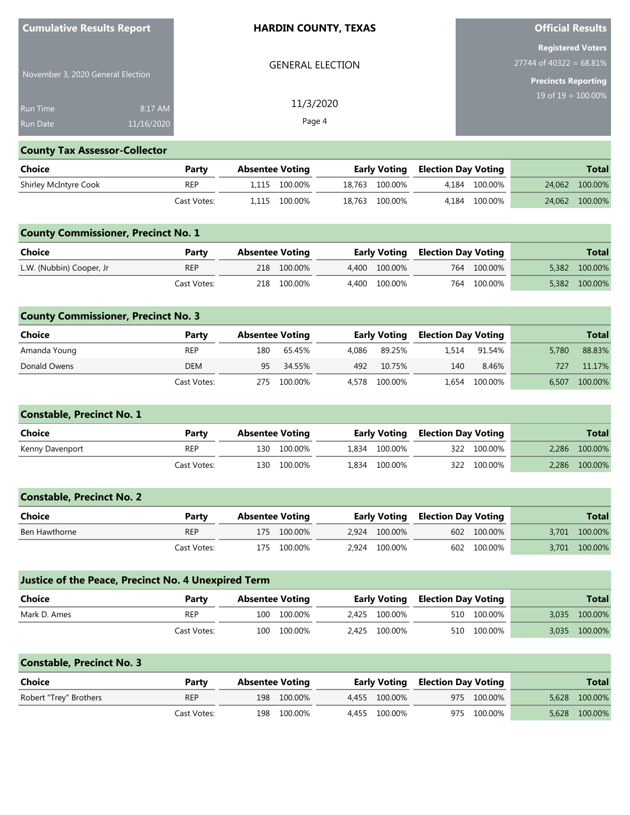| <b>Cumulative Results Report</b>  |            | <b>HARDIN COUNTY, TEXAS</b> | <b>Official Results</b>                               |
|-----------------------------------|------------|-----------------------------|-------------------------------------------------------|
|                                   |            | <b>GENERAL ELECTION</b>     | <b>Registered Voters</b><br>$27744$ of 40322 = 68.81% |
| November 3, 2020 General Election |            |                             | <b>Precincts Reporting</b>                            |
| <b>Run Time</b>                   | 8:17 AM    | 11/3/2020                   | $19$ of $19 = 100.00\%$                               |
| <b>Run Date</b>                   | 11/16/2020 | Page 4                      |                                                       |

# **County Tax Assessor-Collector**

| <b>Choice</b><br>Party |             | Absentee Voting |               | <b>Early Voting Election Day Voting</b> |  |               | <b>Total</b> |                |  |
|------------------------|-------------|-----------------|---------------|-----------------------------------------|--|---------------|--------------|----------------|--|
| Shirley McIntyre Cook  | REP         |                 | 1.115 100.00% | 18.763 100.00%                          |  | 4.184 100.00% |              | 24,062 100.00% |  |
|                        | Cast Votes: |                 | 1.115 100.00% | 18,763 100.00%                          |  | 4.184 100.00% |              | 24,062 100.00% |  |

|                          | <b>County Commissioner, Precinct No. 1</b> |                        |             |  |               |                                         |             |  |               |  |  |
|--------------------------|--------------------------------------------|------------------------|-------------|--|---------------|-----------------------------------------|-------------|--|---------------|--|--|
| Choice                   | Party                                      | <b>Absentee Voting</b> |             |  |               | <b>Early Voting Election Day Voting</b> |             |  | <b>Total</b>  |  |  |
| L.W. (Nubbin) Cooper, Jr | <b>REP</b>                                 |                        | 218 100.00% |  | 4.400 100.00% |                                         | 764 100.00% |  | 5,382 100.00% |  |  |
|                          | Cast Votes:                                |                        | 218 100.00% |  | 4.400 100.00% |                                         | 764 100.00% |  | 5,382 100.00% |  |  |

|              | <b>County Commissioner, Precinct No. 3</b> |                        |         |       |                     |                            |         |       |              |  |  |
|--------------|--------------------------------------------|------------------------|---------|-------|---------------------|----------------------------|---------|-------|--------------|--|--|
| Choice       | Party                                      | <b>Absentee Voting</b> |         |       | <b>Early Voting</b> | <b>Election Day Voting</b> |         |       | <b>Total</b> |  |  |
| Amanda Young | <b>REP</b>                                 | 180                    | 65.45%  | 4.086 | 89.25%              | 1.514                      | 91.54%  | 5.780 | 88.83%       |  |  |
| Donald Owens | <b>DEM</b>                                 | 95                     | 34.55%  | 492   | 10.75%              | 140                        | 8.46%   | 727   | 11.17%       |  |  |
|              | Cast Votes:                                | 275                    | 100.00% |       | 4,578 100.00%       | 1.654                      | 100.00% | 6,507 | 100.00%      |  |  |

| <b>Constable, Precinct No. 1</b> |             |                        |             |               |                                         |             |       |              |
|----------------------------------|-------------|------------------------|-------------|---------------|-----------------------------------------|-------------|-------|--------------|
| <b>Choice</b>                    | Party       | <b>Absentee Voting</b> |             |               | <b>Early Voting Election Day Voting</b> |             |       | <b>Total</b> |
| Kenny Davenport                  | <b>REP</b>  |                        | 130 100.00% | 1.834 100.00% |                                         | 322 100.00% | 2.286 | 100.00%      |
|                                  | Cast Votes: |                        | 130 100.00% | 1.834 100.00% |                                         | 322 100.00% | 2.286 | 100.00%      |

| <b>Constable, Precinct No. 2</b> |             |                        |             |               |                                         |             |               |
|----------------------------------|-------------|------------------------|-------------|---------------|-----------------------------------------|-------------|---------------|
| Choice                           | Party       | <b>Absentee Voting</b> |             |               | <b>Early Voting Election Day Voting</b> |             | <b>Total</b>  |
| Ben Hawthorne                    | <b>REP</b>  |                        | 175 100.00% | 2.924 100.00% |                                         | 602 100.00% | 3,701 100.00% |
|                                  | Cast Votes: |                        | 175 100.00% | 2.924 100.00% |                                         | 602 100.00% | 3,701 100.00% |

| <b>Justice of the Peace, Precinct No. 4 Unexpired Term</b> |             |                        |             |  |                                         |  |             |       |               |  |  |
|------------------------------------------------------------|-------------|------------------------|-------------|--|-----------------------------------------|--|-------------|-------|---------------|--|--|
| Choice                                                     | Party       | <b>Absentee Voting</b> |             |  | <b>Early Voting Election Day Voting</b> |  |             |       | <b>Total</b>  |  |  |
| Mark D. Ames                                               | <b>REP</b>  |                        | 100 100.00% |  | 2.425 100.00%                           |  | 510 100.00% | 3.035 | 100.00%       |  |  |
|                                                            | Cast Votes: |                        | 100 100.00% |  | 2.425 100.00%                           |  | 510 100.00% |       | 3,035 100.00% |  |  |

| <b>Constable, Precinct No. 3</b> |             |                        |             |               |                                         |             |               |
|----------------------------------|-------------|------------------------|-------------|---------------|-----------------------------------------|-------------|---------------|
| Choice                           | Party       | <b>Absentee Voting</b> |             |               | <b>Early Voting Election Day Voting</b> |             | <b>Total</b>  |
| Robert "Trey" Brothers           | <b>REP</b>  |                        | 198 100.00% | 4.455 100.00% |                                         | 975 100.00% | 5,628 100.00% |
|                                  | Cast Votes: |                        | 198 100.00% | 4,455 100.00% |                                         | 975 100.00% | 5,628 100.00% |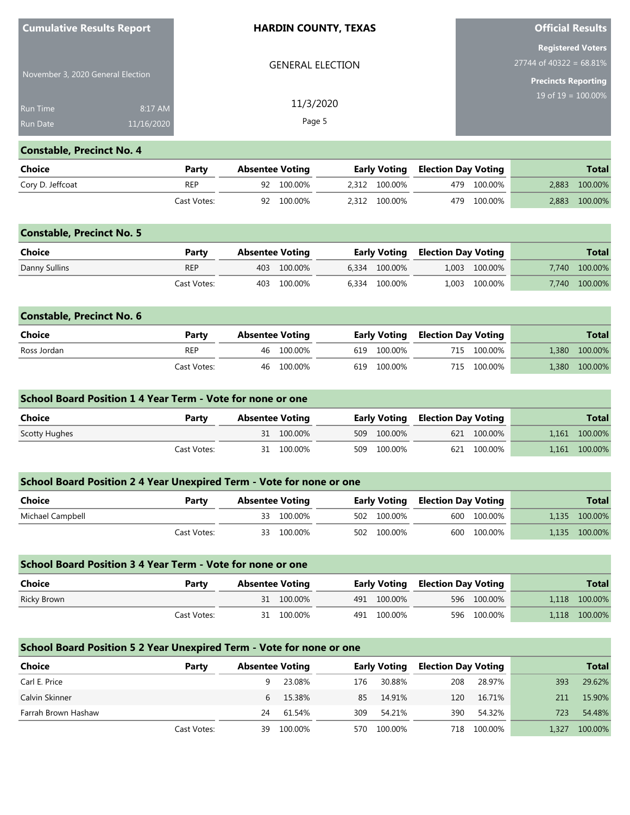| <b>Cumulative Results Report</b>  |            | <b>HARDIN COUNTY, TEXAS</b> | <b>Official Results</b>                               |
|-----------------------------------|------------|-----------------------------|-------------------------------------------------------|
|                                   |            | <b>GENERAL ELECTION</b>     | <b>Registered Voters</b><br>$27744$ of 40322 = 68.81% |
| November 3, 2020 General Election |            |                             | <b>Precincts Reporting</b>                            |
| <b>Run Time</b>                   | 8:17 AM    | 11/3/2020                   | $19$ of $19 = 100.00\%$                               |
| <b>Run Date</b>                   | 11/16/2020 | Page 5                      |                                                       |

# **Constable, Precinct No. 4**

| Choice           | Party       | Absentee Voting |            | <b>Early Voting Election Day Voting</b> |  |             | <b>Total</b>  |
|------------------|-------------|-----------------|------------|-----------------------------------------|--|-------------|---------------|
| Cory D. Jeffcoat | <b>REP</b>  |                 | 92 100.00% | 2.312 100.00%                           |  | 479 100.00% | 2,883 100.00% |
|                  | Cast Votes: |                 | 92 100.00% | 2,312 100.00%                           |  | 479 100.00% | 2,883 100.00% |

| <b>Constable, Precinct No. 5</b> |             |                        |         |               |                                         |               |       |              |
|----------------------------------|-------------|------------------------|---------|---------------|-----------------------------------------|---------------|-------|--------------|
| <b>Choice</b>                    | Party       | <b>Absentee Voting</b> |         |               | <b>Early Voting Election Day Voting</b> |               |       | <b>Total</b> |
| Danny Sullins                    | <b>REP</b>  | 403                    | 100.00% | 6.334 100.00% |                                         | 1,003 100.00% | 7.740 | 100.00%      |
|                                  | Cast Votes: | 403                    | 100.00% | 6.334 100.00% |                                         | 1,003 100.00% | 7.740 | 100.00%      |

| <b>Constable, Precinct No. 6</b> |             |                        |            |             |                                         |             |       |               |
|----------------------------------|-------------|------------------------|------------|-------------|-----------------------------------------|-------------|-------|---------------|
| Choice                           | Party       | <b>Absentee Voting</b> |            |             | <b>Early Voting Election Day Voting</b> |             |       | <b>Total</b>  |
| Ross Jordan                      | <b>REP</b>  |                        | 46 100.00% | 619 100.00% |                                         | 715 100.00% | 1.380 | 100.00%       |
|                                  | Cast Votes: |                        | 46 100.00% | 619 100.00% |                                         | 715 100.00% |       | 1,380 100.00% |

| <b>School Board Position 1 4 Year Term - Vote for none or one</b> |             |                 |  |  |             |                                         |             |       |              |  |  |  |
|-------------------------------------------------------------------|-------------|-----------------|--|--|-------------|-----------------------------------------|-------------|-------|--------------|--|--|--|
| Choice                                                            | Party       | Absentee Voting |  |  |             | <b>Early Voting Election Day Voting</b> |             |       | <b>Total</b> |  |  |  |
| Scotty Hughes                                                     |             | 31 100.00%      |  |  | 509 100.00% |                                         | 621 100.00% | 1.161 | 100.00%      |  |  |  |
|                                                                   | Cast Votes: | 31 100.00%      |  |  | 509 100.00% |                                         | 621 100.00% | 1.161 | 100.00%      |  |  |  |

| School Board Position 2 4 Year Unexpired Term - Vote for none or one |             |                        |             |                                         |               |  |  |  |  |  |  |
|----------------------------------------------------------------------|-------------|------------------------|-------------|-----------------------------------------|---------------|--|--|--|--|--|--|
| Choice                                                               | Party       | <b>Absentee Voting</b> |             | <b>Early Voting Election Day Voting</b> | <b>Total</b>  |  |  |  |  |  |  |
| Michael Campbell                                                     |             | 33 100.00%             | 502 100.00% | 600 100.00%                             | 1,135 100.00% |  |  |  |  |  |  |
|                                                                      | Cast Votes: | 33 100.00%             | 502 100.00% | 600 100.00%                             | 1,135 100.00% |  |  |  |  |  |  |

| School Board Position 3 4 Year Term - Vote for none or one |             |  |                        |  |             |  |                                         |  |               |  |  |
|------------------------------------------------------------|-------------|--|------------------------|--|-------------|--|-----------------------------------------|--|---------------|--|--|
| Choice                                                     | Party       |  | <b>Absentee Voting</b> |  |             |  | <b>Early Voting Election Day Voting</b> |  | <b>Total</b>  |  |  |
| Ricky Brown                                                |             |  | 31 100.00%             |  | 491 100.00% |  | 596 100.00%                             |  | 1,118 100.00% |  |  |
|                                                            | Cast Votes: |  | 31 100.00%             |  | 491 100.00% |  | 596 100.00%                             |  | 1,118 100.00% |  |  |

# **School Board Position 5 2 Year Unexpired Term - Vote for none or one**

| <b>Choice</b>       | Party       | <b>Absentee Voting</b> |          | <b>Early Voting</b> |         | <b>Election Day Voting</b> |         |       | <b>Total</b> |
|---------------------|-------------|------------------------|----------|---------------------|---------|----------------------------|---------|-------|--------------|
| Carl E. Price       |             | 9                      | 23.08%   | 176                 | 30.88%  | 208                        | 28.97%  | 393   | 29.62%       |
| Calvin Skinner      |             |                        | 6 15.38% | 85                  | 14.91%  | 120                        | 16.71%  | 211   | 15.90%       |
| Farrah Brown Hashaw |             | 24                     | 61.54%   | 309                 | 54.21%  | 390                        | 54.32%  | 723   | 54.48%       |
|                     | Cast Votes: | 39                     | 100.00%  | 570.                | 100.00% | 718                        | 100.00% | 1.327 | 100.00%      |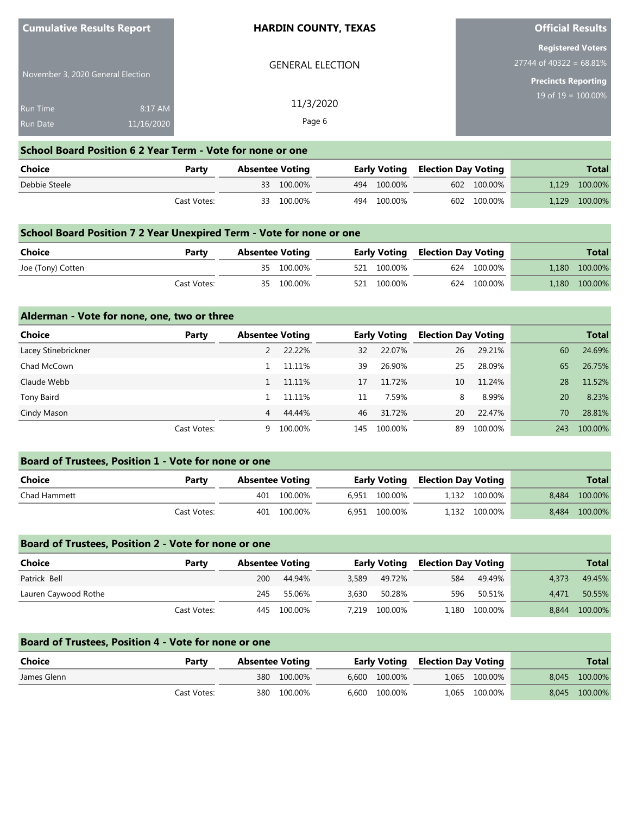| <b>Cumulative Results Report</b>  |            | <b>HARDIN COUNTY, TEXAS</b>                                 | <b>Official Results</b>                               |
|-----------------------------------|------------|-------------------------------------------------------------|-------------------------------------------------------|
|                                   |            | <b>GENERAL ELECTION</b>                                     | <b>Registered Voters</b><br>$27744$ of 40322 = 68.81% |
| November 3, 2020 General Election |            |                                                             | <b>Precincts Reporting</b>                            |
| <b>Run Time</b>                   | 8:17 AM    | 11/3/2020                                                   | $19$ of $19 = 100.00\%$                               |
| Run Date                          | 11/16/2020 | Page 6                                                      |                                                       |
|                                   |            | Calcul Based Backton C.O. Vasco Tames - Mate Company and an |                                                       |

#### **School Board Position 6 2 Year Term - Vote for none or one**

| Choice        | Party       | <b>Absentee Voting</b> |            |  |             | <b>Early Voting Election Day Voting</b> |             | <b>Total</b>  |
|---------------|-------------|------------------------|------------|--|-------------|-----------------------------------------|-------------|---------------|
| Debbie Steele |             |                        | 33 100.00% |  | 494 100.00% |                                         | 602 100.00% | 1,129 100.00% |
|               | Cast Votes: |                        | 33 100.00% |  | 494 100.00% |                                         | 602 100.00% | 1,129 100.00% |

### **School Board Position 7 2 Year Unexpired Term - Vote for none or one**

| <b>Choice</b><br>Party |             | <b>Absentee Voting</b> |            | <b>Early Voting Election Day Voting</b> |  |             | <b>Total</b>  |
|------------------------|-------------|------------------------|------------|-----------------------------------------|--|-------------|---------------|
| Joe (Tony) Cotten      |             |                        | 35 100.00% | 521 100.00%                             |  | 624 100.00% | 1,180 100.00% |
|                        | Cast Votes: |                        | 35 100.00% | 521 100.00%                             |  | 624 100.00% | 1,180 100.00% |

### **Alderman - Vote for none, one, two or three**

| <b>Choice</b>       | Party       |    | <b>Absentee Voting</b> |     | <b>Early Voting</b> |    | <b>Election Day Voting</b> |     | <b>Total</b> |
|---------------------|-------------|----|------------------------|-----|---------------------|----|----------------------------|-----|--------------|
| Lacey Stinebrickner |             |    | 22.22%                 | 32  | 22.07%              | 26 | 29.21%                     | 60  | 24.69%       |
| Chad McCown         |             |    | 11.11%                 | 39  | 26.90%              | 25 | 28.09%                     | 65  | 26.75%       |
| Claude Webb         |             |    | 11.11%                 | 17  | 11.72%              | 10 | 11.24%                     | 28  | 11.52%       |
| Tony Baird          |             |    | 11.11%                 | 11  | 7.59%               | 8  | 8.99%                      | 20  | 8.23%        |
| Cindy Mason         |             | 4  | 44.44%                 | 46  | 31.72%              | 20 | 22.47%                     | 70  | 28.81%       |
|                     | Cast Votes: | 9. | 100.00%                | 145 | 100.00%             | 89 | 100.00%                    | 243 | 100.00%      |

| <b>Board of Trustees, Position 1 - Vote for none or one</b> |             |                        |             |  |               |                                         |               |       |              |  |
|-------------------------------------------------------------|-------------|------------------------|-------------|--|---------------|-----------------------------------------|---------------|-------|--------------|--|
| <b>Choice</b>                                               | Party       | <b>Absentee Voting</b> |             |  |               | <b>Early Voting Election Day Voting</b> |               |       | <b>Total</b> |  |
| Chad Hammett                                                |             | 401                    | 100.00%     |  | 6.951 100.00% |                                         | 1.132 100.00% | 8.484 | 100.00%      |  |
|                                                             | Cast Votes: |                        | 401 100.00% |  | 6.951 100.00% |                                         | 1.132 100.00% | 8.484 | 100.00%      |  |

### **Board of Trustees, Position 2 - Vote for none or one**

| Choice               | Party       | <b>Absentee Voting</b> |             | Early Voting |               | <b>Election Day Voting</b> |               |       | <b>Total</b> |
|----------------------|-------------|------------------------|-------------|--------------|---------------|----------------------------|---------------|-------|--------------|
| Patrick Bell         |             | 200                    | 44.94%      | 3,589        | 49.72%        | 584                        | 49.49%        | 4.373 | 49.45%       |
| Lauren Caywood Rothe |             | 245                    | 55.06%      | 3.630        | 50.28%        | 596                        | 50.51%        | 4.471 | 50.55%       |
|                      | Cast Votes: |                        | 445 100.00% |              | 7.219 100.00% |                            | 1.180 100.00% | 8.844 | 100.00%      |

### **Board of Trustees, Position 4 - Vote for none or one**

| Choice      | Party       | <b>Absentee Voting</b> |             | <b>Early Voting Election Day Voting</b> |               |               | <b>Total</b>  |
|-------------|-------------|------------------------|-------------|-----------------------------------------|---------------|---------------|---------------|
| James Glenn |             |                        | 380 100.00% |                                         | 6.600 100.00% | 1,065 100.00% | 8,045 100.00% |
|             | Cast Votes: |                        | 380 100.00% |                                         | 6.600 100.00% | 1,065 100.00% | 8,045 100.00% |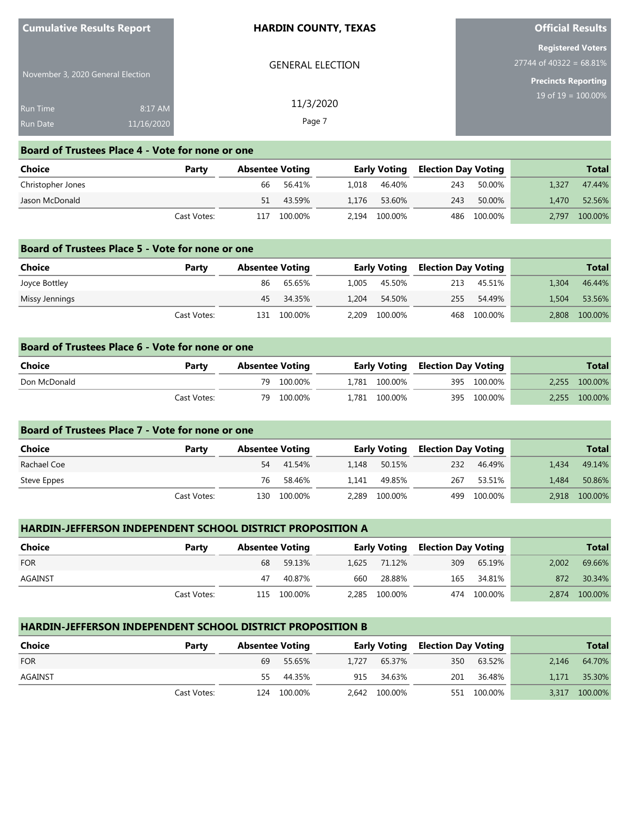| <b>Cumulative Results Report</b>   |                       | <b>HARDIN COUNTY, TEXAS</b> | <b>Official Results</b>                                                             |  |  |
|------------------------------------|-----------------------|-----------------------------|-------------------------------------------------------------------------------------|--|--|
| November 3, 2020 General Election  |                       | <b>GENERAL ELECTION</b>     | <b>Registered Voters</b><br>$27744$ of 40322 = 68.81%<br><b>Precincts Reporting</b> |  |  |
| <b>Run Time</b><br><b>Run Date</b> | 8:17 AM<br>11/16/2020 | 11/3/2020<br>Page 7         | 19 of $19 = 100.00\%$                                                               |  |  |

#### **Board of Trustees Place 4 - Vote for none or one**

| Choice            | Party       | <b>Absentee Voting</b> |         |       | <b>Early Voting</b> |     | Election Day Voting |       | <b>Total</b> |
|-------------------|-------------|------------------------|---------|-------|---------------------|-----|---------------------|-------|--------------|
| Christopher Jones |             | 66                     | 56.41%  | 1.018 | 46.40%              | 243 | 50.00%              | 1.327 | 47.44%       |
| Jason McDonald    |             | 51                     | 43.59%  | 1.176 | 53.60%              | 243 | 50.00%              | 1.470 | 52.56%       |
|                   | Cast Votes: | 117                    | 100.00% |       | 2,194 100.00%       |     | 486 100.00%         | 2.797 | 100.00%      |

#### **Board of Trustees Place 5 - Vote for none or one**

| Choice         | Party       | <b>Absentee Voting</b> |             |       | Early Voting  |     | <b>Election Day Voting</b> |       | <b>Total</b>  |
|----------------|-------------|------------------------|-------------|-------|---------------|-----|----------------------------|-------|---------------|
| Joyce Bottley  |             | 86                     | 65.65%      | 1.005 | 45.50%        | 213 | 45.51%                     | 1.304 | 46.44%        |
| Missy Jennings |             |                        | 45 34.35%   | 1.204 | 54.50%        |     | 255 54.49%                 | 1.504 | 53.56%        |
|                | Cast Votes: |                        | 131 100.00% |       | 2,209 100.00% |     | 468 100.00%                |       | 2,808 100.00% |

# **Board of Trustees Place 6 - Vote for none or one Choice Party Absentee Voting Early Voting Election Day Voting Total** Don McDonald 79 100.00% 1,781 100.00% 395 100.00% 2,255 100.00% Cast Votes: 79 100.00% 1,781 100.00% 395 100.00% 2,255 100.00%

| Board of Trustees Place 7 - Vote for none or one |             |                        |         |       |                     |                            |         |       |              |  |
|--------------------------------------------------|-------------|------------------------|---------|-------|---------------------|----------------------------|---------|-------|--------------|--|
| Choice                                           | Party       | <b>Absentee Voting</b> |         |       | <b>Early Voting</b> | <b>Election Day Voting</b> |         |       | <b>Total</b> |  |
| Rachael Coe                                      |             | 54                     | 41.54%  | 1.148 | 50.15%              | 232                        | 46.49%  | 1.434 | 49.14%       |  |
| Steve Eppes                                      |             | 76                     | 58.46%  | 1.141 | 49.85%              | 267                        | 53.51%  | 1.484 | 50.86%       |  |
|                                                  | Cast Votes: | 130                    | 100.00% | 2.289 | 100.00%             | 499                        | 100.00% | 2.918 | 100.00%      |  |

### **HARDIN-JEFFERSON INDEPENDENT SCHOOL DISTRICT PROPOSITION A**

| Choice     | Party       | <b>Absentee Voting</b> |             |     |               | <b>Early Voting Election Day Voting</b> |             |       | <b>Total</b>  |
|------------|-------------|------------------------|-------------|-----|---------------|-----------------------------------------|-------------|-------|---------------|
| <b>FOR</b> |             | 68                     | 59.13%      |     | 1,625 71.12%  | 309                                     | 65.19%      | 2.002 | 69.66%        |
| AGAINST    |             | 47                     | 40.87%      | 660 | 28.88%        | 165                                     | 34.81%      | 872   | 30.34%        |
|            | Cast Votes: |                        | 115 100.00% |     | 2,285 100.00% |                                         | 474 100.00% |       | 2,874 100.00% |

# **HARDIN-JEFFERSON INDEPENDENT SCHOOL DISTRICT PROPOSITION B**

| Choice     | Party       | <b>Absentee Voting</b> |             |  |               | <b>Early Voting Election Day Voting</b> |             |       | <b>Total</b>  |  |
|------------|-------------|------------------------|-------------|--|---------------|-----------------------------------------|-------------|-------|---------------|--|
| <b>FOR</b> |             | 69                     | 55.65%      |  | 1.727 65.37%  | 350                                     | 63.52%      | 2.146 | 64.70%        |  |
| AGAINST    |             | 55.                    | 44.35%      |  | 915 34.63%    | 201                                     | 36.48%      |       | 1,171 35.30%  |  |
|            | Cast Votes: |                        | 124 100.00% |  | 2,642 100.00% |                                         | 551 100.00% |       | 3,317 100.00% |  |